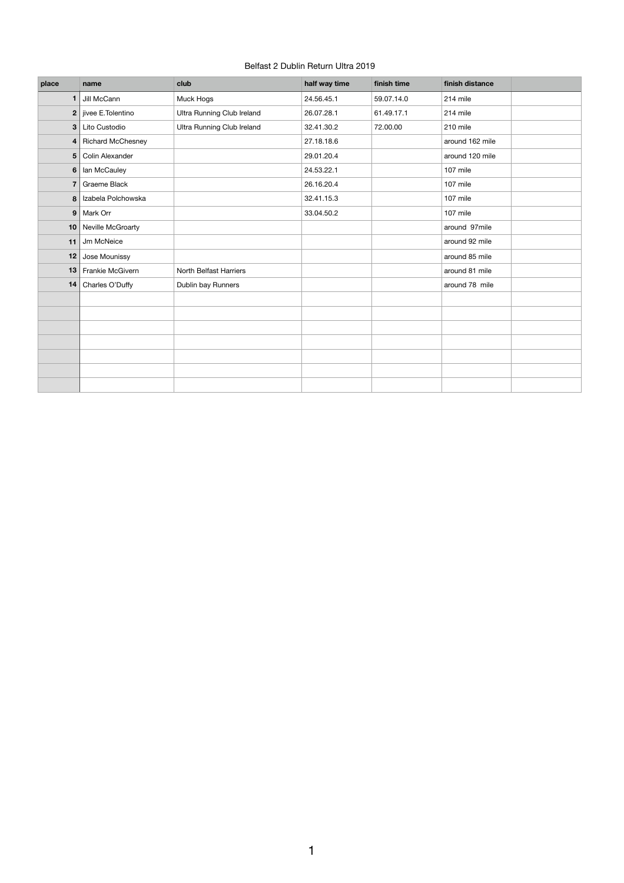## Belfast 2 Dublin Return Ultra 2019

| place          | name                     | club                       | half way time | finish time | finish distance |  |
|----------------|--------------------------|----------------------------|---------------|-------------|-----------------|--|
|                | Jill McCann              | Muck Hogs                  | 24.56.45.1    | 59.07.14.0  | 214 mile        |  |
| 2 <sub>1</sub> | jivee E.Tolentino        | Ultra Running Club Ireland | 26.07.28.1    | 61.49.17.1  | 214 mile        |  |
| 3              | Lito Custodio            | Ultra Running Club Ireland | 32.41.30.2    | 72.00.00    | 210 mile        |  |
| 4              | <b>Richard McChesney</b> |                            | 27.18.18.6    |             | around 162 mile |  |
| 5              | Colin Alexander          |                            | 29.01.20.4    |             | around 120 mile |  |
| 6              | lan McCauley             |                            | 24.53.22.1    |             | 107 mile        |  |
| $\overline{7}$ | Graeme Black             |                            | 26.16.20.4    |             | 107 mile        |  |
| 8              | Izabela Polchowska       |                            | 32.41.15.3    |             | 107 mile        |  |
| 9              | Mark Orr                 |                            | 33.04.50.2    |             | 107 mile        |  |
| 10             | Neville McGroarty        |                            |               |             | around 97mile   |  |
| 11             | Jm McNeice               |                            |               |             | around 92 mile  |  |
| 12             | Jose Mounissy            |                            |               |             | around 85 mile  |  |
| 13             | Frankie McGivern         | North Belfast Harriers     |               |             | around 81 mile  |  |
| 14             | Charles O'Duffy          | Dublin bay Runners         |               |             | around 78 mile  |  |
|                |                          |                            |               |             |                 |  |
|                |                          |                            |               |             |                 |  |
|                |                          |                            |               |             |                 |  |
|                |                          |                            |               |             |                 |  |
|                |                          |                            |               |             |                 |  |
|                |                          |                            |               |             |                 |  |
|                |                          |                            |               |             |                 |  |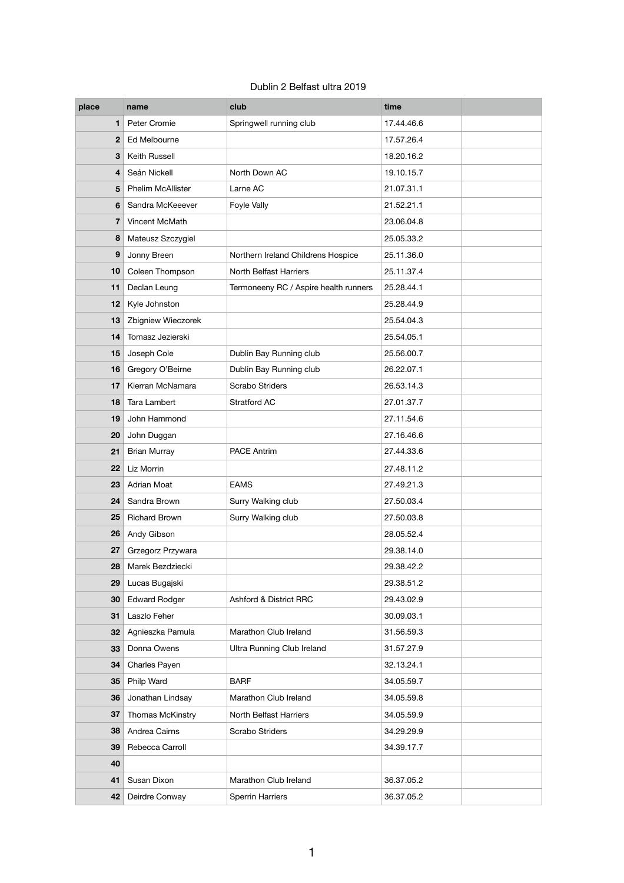## Dublin 2 Belfast ultra 2019

| place        | name                     | club                                  | time       |  |
|--------------|--------------------------|---------------------------------------|------------|--|
| 1            | Peter Cromie             | Springwell running club               | 17.44.46.6 |  |
| $\mathbf{2}$ | Ed Melbourne             |                                       | 17.57.26.4 |  |
| 3            | <b>Keith Russell</b>     |                                       | 18.20.16.2 |  |
| 4            | Seán Nickell             | North Down AC                         | 19.10.15.7 |  |
| 5            | <b>Phelim McAllister</b> | Larne AC                              | 21.07.31.1 |  |
| 6            | Sandra McKeeever         | <b>Foyle Vally</b>                    | 21.52.21.1 |  |
| 7            | Vincent McMath           |                                       | 23.06.04.8 |  |
| 8            | Mateusz Szczygiel        |                                       | 25.05.33.2 |  |
| 9            | Jonny Breen              | Northern Ireland Childrens Hospice    | 25.11.36.0 |  |
| 10           | Coleen Thompson          | North Belfast Harriers                | 25.11.37.4 |  |
| 11           | Declan Leung             | Termoneeny RC / Aspire health runners | 25.28.44.1 |  |
| 12           | Kyle Johnston            |                                       | 25.28.44.9 |  |
| 13           | Zbigniew Wieczorek       |                                       | 25.54.04.3 |  |
| 14           | Tomasz Jezierski         |                                       | 25.54.05.1 |  |
| 15           | Joseph Cole              | Dublin Bay Running club               | 25.56.00.7 |  |
| 16           | Gregory O'Beirne         | Dublin Bay Running club               | 26.22.07.1 |  |
| 17           | Kierran McNamara         | <b>Scrabo Striders</b>                | 26.53.14.3 |  |
| 18           | <b>Tara Lambert</b>      | Stratford AC                          | 27.01.37.7 |  |
| 19           | John Hammond             |                                       | 27.11.54.6 |  |
| 20           | John Duggan              |                                       | 27.16.46.6 |  |
| 21           | <b>Brian Murray</b>      | <b>PACE Antrim</b>                    | 27.44.33.6 |  |
| 22           | Liz Morrin               |                                       | 27.48.11.2 |  |
| 23           | <b>Adrian Moat</b>       | <b>EAMS</b>                           | 27.49.21.3 |  |
| 24           | Sandra Brown             | Surry Walking club                    | 27.50.03.4 |  |
| 25           | <b>Richard Brown</b>     | Surry Walking club                    | 27.50.03.8 |  |
| 26           | Andy Gibson              |                                       | 28.05.52.4 |  |
| 27           | Grzegorz Przywara        |                                       | 29.38.14.0 |  |
| 28           | Marek Bezdziecki         |                                       | 29.38.42.2 |  |
| 29           | Lucas Bugajski           |                                       | 29.38.51.2 |  |
| 30           | <b>Edward Rodger</b>     | <b>Ashford &amp; District RRC</b>     | 29.43.02.9 |  |
| 31           | Laszlo Feher             |                                       | 30.09.03.1 |  |
| 32           | Agnieszka Pamula         | Marathon Club Ireland                 | 31.56.59.3 |  |
| 33           | Donna Owens              | Ultra Running Club Ireland            | 31.57.27.9 |  |
| 34           | Charles Payen            |                                       | 32.13.24.1 |  |
| 35           | Philp Ward               | <b>BARF</b>                           | 34.05.59.7 |  |
| 36           | Jonathan Lindsay         | Marathon Club Ireland                 | 34.05.59.8 |  |
| 37           | Thomas McKinstry         | North Belfast Harriers                | 34.05.59.9 |  |
| 38           | Andrea Cairns            | <b>Scrabo Striders</b>                | 34.29.29.9 |  |
| 39           | Rebecca Carroll          |                                       | 34.39.17.7 |  |
| 40           |                          |                                       |            |  |
| 41           | Susan Dixon              | Marathon Club Ireland                 | 36.37.05.2 |  |
| 42           | Deirdre Conway           | Sperrin Harriers                      | 36.37.05.2 |  |